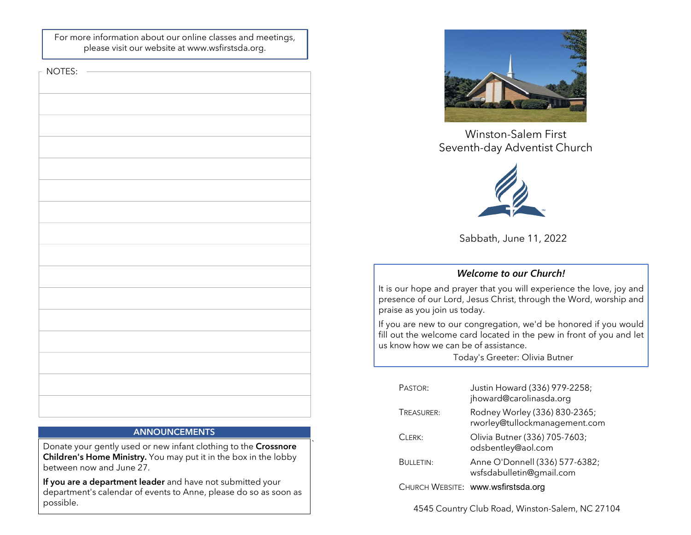For more information about our online classes and meetings, please visit our website at www.wsfirstsda.org.

 $\vdash$  NOTES:

| - - - - - |
|-----------|
|           |
|           |
|           |
|           |
|           |
|           |
|           |
|           |
|           |
|           |
|           |
|           |
|           |
|           |
|           |
|           |
|           |
|           |
|           |
|           |
|           |
|           |
|           |
|           |
|           |
|           |
|           |
|           |
|           |
|           |
|           |
|           |
|           |
|           |
|           |
|           |
|           |
|           |
|           |
|           |
|           |
|           |
|           |
|           |
|           |
|           |
|           |
|           |
|           |
|           |
|           |
|           |
|           |
|           |
|           |
|           |
|           |
|           |
|           |
|           |
|           |
|           |
|           |
|           |
|           |
|           |
|           |
|           |
|           |
|           |
|           |

## **ANNOUNCEMENTS**

`

Donate your gently used or new infant clothing to the Crossnore Children's Home Ministry. You may put it in the box in the lobby between now and June 27.

If you are a department leader and have not submitted your department's calendar of events to Anne, please do so as soon as possible.



Winston-Salem First



Sabbath, June 11, 2022

# Welcome to our Church!

Winston-Salem First<br>Seventh-day Adventist Church<br>Sabbath, June 11, 2022<br>Welcome to our Church!<br>It is our hope and prayer that you will experience the love, joy and<br>praise as you join us today.<br>If you are new to our congreg Winston-Salem First<br>
Seventh-day Adventist Church<br>
Seventh-day Adventist Church<br>
Sabbath, June 11, 2022<br>
Welcome to our Church!<br>
It is our hope and prayer that you will experience the love, joy and<br>
presence of our Lord, J Winston-Salem First<br>
Seventh-day Adventist Church<br>
Sabbath, June 11, 2022<br>
Welcome to our Church!<br>
It is our hope and prayer that you will experience the love, joy and<br>
presence of our Lord, Jesus Christ, through the Word, Winston-Salem First<br>
Seventh-day Adventist Church<br>
Sabbath, June 11, 2022<br>
Welcome to our Church!<br>
It is our hope and prager that you will experience the love, joy and<br>
presence of our Lord, Jesus Christ, through the Word, Winston-Salem First<br>
Seventh-day Adventist Church<br>
Sabbath, June 11, 2022<br>
Welcome to our Church!<br>
It is our hope and prayer that you will experience the love, joy and<br>
praise as you join us today.<br>
If you are new to our c

|                                                                                                                                                               | Sabbath, June 11, 2022                                                                                                                                            |  |
|---------------------------------------------------------------------------------------------------------------------------------------------------------------|-------------------------------------------------------------------------------------------------------------------------------------------------------------------|--|
|                                                                                                                                                               | <b>Welcome to our Church!</b>                                                                                                                                     |  |
| our hope and prayer that you will experience the love, joy and<br>sence of our Lord, Jesus Christ, through the Word, worship and<br>ise as you join us today. |                                                                                                                                                                   |  |
| now how we can be of assistance.                                                                                                                              | ou are new to our congregation, we'd be honored if you would<br>but the welcome card located in the pew in front of you and let<br>Today's Greeter: Olivia Butner |  |
|                                                                                                                                                               |                                                                                                                                                                   |  |
| PASTOR:                                                                                                                                                       | Justin Howard (336) 979-2258;<br>jhoward@carolinasda.org                                                                                                          |  |
| TREASURER:                                                                                                                                                    | Rodney Worley (336) 830-2365;<br>rworley@tullockmanagement.com                                                                                                    |  |
| CLERK:                                                                                                                                                        | Olivia Butner (336) 705-7603;<br>odsbentley@aol.com                                                                                                               |  |
| <b>BULLETIN:</b>                                                                                                                                              | Anne O'Donnell (336) 577-6382;<br>wsfsdabulletin@gmail.com                                                                                                        |  |
|                                                                                                                                                               | CHURCH WEBSITE: www.wsfirstsda.org                                                                                                                                |  |

4545 Country Club Road, Winston-Salem, NC 27104